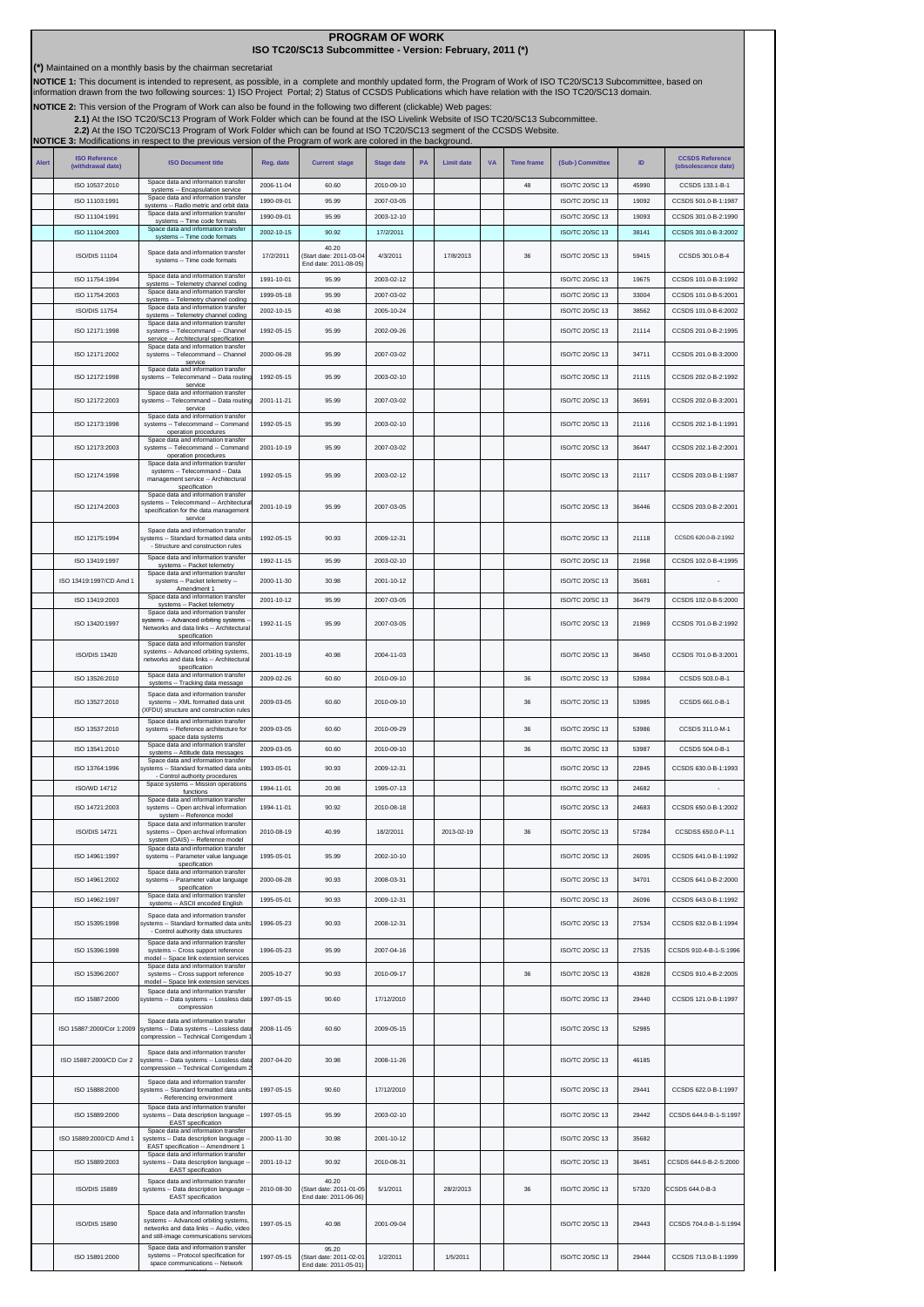| (*) Maintained on a monthly basis by the chairman secretariat                                                                                                                                                                                                                                                                     |                           |                                                                                                                                                                  |            |                                                           |                   |    |                   |           |                   |                        |       |                        |
|-----------------------------------------------------------------------------------------------------------------------------------------------------------------------------------------------------------------------------------------------------------------------------------------------------------------------------------|---------------------------|------------------------------------------------------------------------------------------------------------------------------------------------------------------|------------|-----------------------------------------------------------|-------------------|----|-------------------|-----------|-------------------|------------------------|-------|------------------------|
| NOTICE 1: This document is intended to represent, as possible, in a complete and monthly updated form, the Program of Work of ISO TC20/SC13 Subcommittee, based on<br>information drawn from the two following sources: 1) ISO Project Portal; 2) Status of CCSDS Publications which have relation with the ISO TC20/SC13 domain. |                           |                                                                                                                                                                  |            |                                                           |                   |    |                   |           |                   |                        |       |                        |
| NOTICE 2: This version of the Program of Work can also be found in the following two different (clickable) Web pages:                                                                                                                                                                                                             |                           |                                                                                                                                                                  |            |                                                           |                   |    |                   |           |                   |                        |       |                        |
| 2.1) At the ISO TC20/SC13 Program of Work Folder which can be found at the ISO Livelink Website of ISO TC20/SC13 Subcommittee.<br>2.2) At the ISO TC20/SC13 Program of Work Folder which can be found at ISO TC20/SC13 segment of the CCSDS Website.                                                                              |                           |                                                                                                                                                                  |            |                                                           |                   |    |                   |           |                   |                        |       |                        |
|                                                                                                                                                                                                                                                                                                                                   |                           | NOTICE 3: Modifications in respect to the previous version of the Program of work are colored in the background.                                                 |            |                                                           |                   |    |                   |           |                   |                        |       |                        |
| <b>Alert</b>                                                                                                                                                                                                                                                                                                                      | <b>ISO Reference</b>      | <b>ISO Document title</b>                                                                                                                                        | Reg. date  | <b>Current stage</b>                                      | <b>Stage date</b> | PA | <b>Limit date</b> | <b>VA</b> | <b>Time frame</b> | (Sub-) Committee       | ID    | <b>CCSDS Reference</b> |
|                                                                                                                                                                                                                                                                                                                                   | (withdrawal date)         | Space data and information transfer                                                                                                                              |            |                                                           |                   |    |                   |           |                   |                        |       | (obsolescence date)    |
|                                                                                                                                                                                                                                                                                                                                   | ISO 10537:2010            | systems -- Encapsulation service<br>Space data and information transfer                                                                                          | 2006-11-04 | 60.60                                                     | 2010-09-10        |    |                   |           | 48                | ISO/TC 20/SC 13        | 45990 | CCSDS 133.1-B-1        |
|                                                                                                                                                                                                                                                                                                                                   | ISO 11103:1991            | systems -- Radio metric and orbit data<br>Space data and information transfer                                                                                    | 1990-09-01 | 95.99                                                     | 2007-03-05        |    |                   |           |                   | ISO/TC 20/SC 13        | 19092 | CCSDS 501.0-B-1:1987   |
|                                                                                                                                                                                                                                                                                                                                   | ISO 11104:1991            | systems -- Time code formats<br>Space data and information transfer                                                                                              | 1990-09-01 | 95.99                                                     | 2003-12-10        |    |                   |           |                   | ISO/TC 20/SC 13        | 19093 | CCSDS 301.0-B-2:1990   |
|                                                                                                                                                                                                                                                                                                                                   | ISO 11104:2003            | systems -- Time code formats                                                                                                                                     | 2002-10-15 | 90.92                                                     | 17/2/2011         |    |                   |           |                   | <b>ISO/TC 20/SC 13</b> | 38141 | CCSDS 301.0-B-3:2002   |
|                                                                                                                                                                                                                                                                                                                                   | ISO/DIS 11104             | Space data and information transfer<br>systems -- Time code formats                                                                                              | 17/2/2011  | 40.20<br>(Start date: 2011-03-04<br>End date: 2011-08-05) | 4/3/2011          |    | 17/8/2013         |           | 36                | ISO/TC 20/SC 13        | 59415 | CCSDS 301.0-B-4        |
|                                                                                                                                                                                                                                                                                                                                   | ISO 11754:1994            | Space data and information transfer<br>systems -- Telemetry channel coding                                                                                       | 1991-10-01 | 95.99                                                     | 2003-02-12        |    |                   |           |                   | ISO/TC 20/SC 13        | 19675 | CCSDS 101.0-B-3:1992   |
|                                                                                                                                                                                                                                                                                                                                   | ISO 11754:2003            | Space data and information transfer<br>systems -- Telemetry channel coding                                                                                       | 1999-05-18 | 95.99                                                     | 2007-03-02        |    |                   |           |                   | ISO/TC 20/SC 13        | 33004 | CCSDS 101.0-B-5:2001   |
|                                                                                                                                                                                                                                                                                                                                   | <b>ISO/DIS 11754</b>      | Space data and information transfer<br>systems -- Telemetry channel coding                                                                                       | 2002-10-15 | 40.98                                                     | 2005-10-24        |    |                   |           |                   | ISO/TC 20/SC 13        | 38562 | CCSDS 101.0-B-6:2002   |
|                                                                                                                                                                                                                                                                                                                                   | ISO 12171:1998            | Space data and information transfer<br>systems -- Telecommand -- Channel<br>service -- Architectural specification<br>Space data and information transfer        | 1992-05-15 | 95.99                                                     | 2002-09-26        |    |                   |           |                   | ISO/TC 20/SC 13        | 21114 | CCSDS 201.0-B-2:1995   |
|                                                                                                                                                                                                                                                                                                                                   | ISO 12171:2002            | systems -- Telecommand -- Channel<br>service                                                                                                                     | 2000-06-28 | 95.99                                                     | 2007-03-02        |    |                   |           |                   | ISO/TC 20/SC 13        | 34711 | CCSDS 201.0-B-3:2000   |
|                                                                                                                                                                                                                                                                                                                                   | ISO 12172:1998            | Space data and information transfer<br>systems -- Telecommand -- Data routing<br>service                                                                         | 1992-05-15 | 95.99                                                     | 2003-02-10        |    |                   |           |                   | ISO/TC 20/SC 13        | 21115 | CCSDS 202.0-B-2:1992   |
|                                                                                                                                                                                                                                                                                                                                   | ISO 12172:2003            | Space data and information transfer<br>systems -- Telecommand -- Data routing<br>service                                                                         | 2001-11-21 | 95.99                                                     | 2007-03-02        |    |                   |           |                   | <b>ISO/TC 20/SC 13</b> | 36591 | CCSDS 202.0-B-3:2001   |
|                                                                                                                                                                                                                                                                                                                                   | ISO 12173:1998            | Space data and information transfer<br>systems -- Telecommand -- Command                                                                                         | 1992-05-15 | 95.99                                                     | 2003-02-10        |    |                   |           |                   | ISO/TC 20/SC 13        | 21116 | CCSDS 202.1-B-1:1991   |
|                                                                                                                                                                                                                                                                                                                                   | ISO 12173:2003            | operation procedures<br>Space data and information transfer<br>systems -- Telecommand -- Command                                                                 | 2001-10-19 | 95.99                                                     | 2007-03-02        |    |                   |           |                   | ISO/TC 20/SC 13        | 36447 | CCSDS 202.1-B-2:2001   |
|                                                                                                                                                                                                                                                                                                                                   | ISO 12174:1998            | operation procedures<br>Space data and information transfer<br>systems -- Telecommand -- Data                                                                    | 1992-05-15 | 95.99                                                     | 2003-02-12        |    |                   |           |                   | ISO/TC 20/SC 13        | 21117 | CCSDS 203.0-B-1:1987   |
|                                                                                                                                                                                                                                                                                                                                   |                           | management service -- Architectural<br>specification<br>Space data and information transfer<br>systems -- Telecommand -- Architectural                           |            |                                                           |                   |    |                   |           |                   |                        |       |                        |
|                                                                                                                                                                                                                                                                                                                                   | ISO 12174:2003            | specification for the data management<br>service                                                                                                                 | 2001-10-19 | 95.99                                                     | 2007-03-05        |    |                   |           |                   | ISO/TC 20/SC 13        | 36446 | CCSDS 203.0-B-2:2001   |
|                                                                                                                                                                                                                                                                                                                                   | ISO 12175:1994            | Space data and information transfer<br>systems -- Standard formatted data units<br>- Structure and construction rules                                            | 1992-05-15 | 90.93                                                     | 2009-12-31        |    |                   |           |                   | ISO/TC 20/SC 13        | 21118 | CCSDS 620.0-B-2:1992   |
|                                                                                                                                                                                                                                                                                                                                   | ISO 13419:1997            | Space data and information transfer<br>systems -- Packet telemetry<br>Space data and information transfer                                                        | 1992-11-15 | 95.99                                                     | 2003-02-10        |    |                   |           |                   | ISO/TC 20/SC 13        | 21968 | CCSDS 102.0-B-4:1995   |
|                                                                                                                                                                                                                                                                                                                                   | ISO 13419:1997/CD Amd 1   | systems -- Packet telemetry --<br>Amendment 1                                                                                                                    | 2000-11-30 | 30.98                                                     | 2001-10-12        |    |                   |           |                   | ISO/TC 20/SC 13        | 35681 |                        |
|                                                                                                                                                                                                                                                                                                                                   | ISO 13419:2003            | Space data and information transfer<br>systems -- Packet telemetry                                                                                               | 2001-10-12 | 95.99                                                     | 2007-03-05        |    |                   |           |                   | ISO/TC 20/SC 13        | 36479 | CCSDS 102.0-B-5:2000   |
|                                                                                                                                                                                                                                                                                                                                   | ISO 13420:1997            | Space data and information transfer<br>systems -- Advanced orbiting systems<br>Networks and data links -- Architectural                                          | 1992-11-15 | 95.99                                                     | 2007-03-05        |    |                   |           |                   | ISO/TC 20/SC 13        | 21969 | CCSDS 701.0-B-2:1992   |
|                                                                                                                                                                                                                                                                                                                                   | <b>ISO/DIS 13420</b>      | specification<br>Space data and information transfer<br>systems -- Advanced orbiting systems,<br>networks and data links -- Architectura                         | 2001-10-19 | 40.98                                                     | 2004-11-03        |    |                   |           |                   | ISO/TC 20/SC 13        | 36450 | CCSDS 701.0-B-3:2001   |
|                                                                                                                                                                                                                                                                                                                                   | ISO 13526:2010            | specification<br>Space data and information transfer<br>systems -- Tracking data message                                                                         | 2009-02-26 | 60.60                                                     | 2010-09-10        |    |                   |           | 36                | ISO/TC 20/SC 13        | 53984 | CCSDS 503.0-B-1        |
|                                                                                                                                                                                                                                                                                                                                   | ISO 13527:2010            | Space data and information transfer<br>systems -- XML formatted data unit<br>(XFDU) structure and construction rules                                             | 2009-03-05 | 60.60                                                     | 2010-09-10        |    |                   |           | 36                | ISO/TC 20/SC 13        | 53985 | CCSDS 661.0-B-1        |
|                                                                                                                                                                                                                                                                                                                                   | ISO 13537:2010            | Space data and information transfer<br>systems -- Reference architecture for                                                                                     | 2009-03-05 | 60.60                                                     | 2010-09-29        |    |                   |           | 36                | ISO/TC 20/SC 13        | 53986 | CCSDS 311.0-M-1        |
|                                                                                                                                                                                                                                                                                                                                   | ISO 13541:2010            | space data systems<br>Space data and information transfer<br>systems -- Attitude data messages                                                                   | 2009-03-05 | 60.60                                                     | 2010-09-10        |    |                   |           | 36                | ISO/TC 20/SC 13        | 53987 | CCSDS 504.0-B-1        |
|                                                                                                                                                                                                                                                                                                                                   | ISO 13764:1996            | data and information transfe<br>systems -- Standard formatted data units                                                                                         | 1993-05-01 | 90.93                                                     | 2009-12-31        |    |                   |           |                   | ISO/TC 20/SC 13        | 22845 | CCSDS 630.0-B-1:1993   |
|                                                                                                                                                                                                                                                                                                                                   | ISO/WD 14712              | - Control authority procedures<br>Space systems -- Mission operations<br>functions                                                                               | 1994-11-01 | 20.98                                                     | 1995-07-13        |    |                   |           |                   | ISO/TC 20/SC 13        | 24682 |                        |
|                                                                                                                                                                                                                                                                                                                                   | ISO 14721:2003            | Space data and information transfer<br>systems -- Open archival information<br>system -- Reference model                                                         | 1994-11-01 | 90.92                                                     | 2010-08-18        |    |                   |           |                   | ISO/TC 20/SC 13        | 24683 | CCSDS 650.0-B-1:2002   |
|                                                                                                                                                                                                                                                                                                                                   | <b>ISO/DIS 14721</b>      | Space data and information transfer<br>systems -- Open archival information<br>system (OAIS) -- Reference model                                                  | 2010-08-19 | 40.99                                                     | 18/2/2011         |    | 2013-02-19        |           | 36                | ISO/TC 20/SC 13        | 57284 | CCSDSS 650.0-P-1.1     |
|                                                                                                                                                                                                                                                                                                                                   | ISO 14961:1997            | Space data and information transfer<br>systems -- Parameter value language<br>specification                                                                      | 1995-05-01 | 95.99                                                     | 2002-10-10        |    |                   |           |                   | ISO/TC 20/SC 13        | 26095 | CCSDS 641.0-B-1:1992   |
|                                                                                                                                                                                                                                                                                                                                   | ISO 14961:2002            | Space data and information transfer<br>systems -- Parameter value language                                                                                       | 2000-06-28 | 90.93                                                     | 2008-03-31        |    |                   |           |                   | ISO/TC 20/SC 13        | 34701 | CCSDS 641.0-B-2:2000   |
|                                                                                                                                                                                                                                                                                                                                   |                           | specification<br>Space data and information transfer                                                                                                             |            |                                                           |                   |    |                   |           |                   |                        |       |                        |
|                                                                                                                                                                                                                                                                                                                                   | ISO 14962:1997            | systems -- ASCII encoded English                                                                                                                                 | 1995-05-01 | 90.93                                                     | 2009-12-31        |    |                   |           |                   | ISO/TC 20/SC 13        | 26096 | CCSDS 643.0-B-1:1992   |
|                                                                                                                                                                                                                                                                                                                                   | ISO 15395:1998            | Space data and information transfer<br>systems -- Standard formatted data units<br>- Control authority data structures                                           | 1996-05-23 | 90.93                                                     | 2008-12-31        |    |                   |           |                   | ISO/TC 20/SC 13        | 27534 | CCSDS 632.0-B-1:1994   |
|                                                                                                                                                                                                                                                                                                                                   | ISO 15396:1998            | Space data and information transfer<br>systems -- Cross support reference<br>model -- Space link extension services                                              | 1996-05-23 | 95.99                                                     | 2007-04-16        |    |                   |           |                   | ISO/TC 20/SC 13        | 27535 | CCSDS 910-4-B-1-S:1996 |
|                                                                                                                                                                                                                                                                                                                                   | ISO 15396:2007            | Space data and information transfer<br>systems -- Cross support reference<br>model -- Space link extension services                                              | 2005-10-27 | 90.93                                                     | 2010-09-17        |    |                   |           | 36                | ISO/TC 20/SC 13        | 43828 | CCSDS 910.4-B-2:2005   |
|                                                                                                                                                                                                                                                                                                                                   | ISO 15887:2000            | Space data and information transfer<br>systems -- Data systems -- Lossless data<br>compression                                                                   | 1997-05-15 | 90.60                                                     | 17/12/2010        |    |                   |           |                   | ISO/TC 20/SC 13        | 29440 | CCSDS 121.0-B-1:1997   |
|                                                                                                                                                                                                                                                                                                                                   | ISO 15887:2000/Cor 1:2009 | Space data and information transfer<br>systems -- Data systems -- Lossless data                                                                                  | 2008-11-05 | 60.60                                                     | 2009-05-15        |    |                   |           |                   | ISO/TC 20/SC 13        | 52985 |                        |
|                                                                                                                                                                                                                                                                                                                                   | ISO 15887:2000/CD Cor 2   | compression -- Technical Corrigendum<br>Space data and information transfer                                                                                      | 2007-04-20 | 30.98                                                     | 2008-11-26        |    |                   |           |                   | ISO/TC 20/SC 13        | 46185 |                        |
|                                                                                                                                                                                                                                                                                                                                   |                           | systems -- Data systems -- Lossless data<br>compression -- Technical Corrigendum :<br>Space data and information transfer                                        |            |                                                           |                   |    |                   |           |                   |                        |       |                        |
|                                                                                                                                                                                                                                                                                                                                   | ISO 15888:2000            | systems -- Standard formatted data units<br>- Referencing environment<br>Space data and information transfer                                                     | 1997-05-15 | 90.60                                                     | 17/12/2010        |    |                   |           |                   | ISO/TC 20/SC 13        | 29441 | CCSDS 622.0-B-1:1997   |
|                                                                                                                                                                                                                                                                                                                                   | ISO 15889:2000            | systems -- Data description language<br><b>EAST</b> specification<br>Space data and information transfer                                                         | 1997-05-15 | 95.99                                                     | 2003-02-10        |    |                   |           |                   | ISO/TC 20/SC 13        | 29442 | CCSDS 644.0-B-1-S:1997 |
|                                                                                                                                                                                                                                                                                                                                   | ISO 15889:2000/CD Amd 1   | systems -- Data description language<br>EAST specification -- Amendment 1<br>Space data and information transfer                                                 | 2000-11-30 | 30.98                                                     | 2001-10-12        |    |                   |           |                   | ISO/TC 20/SC 13        | 35682 |                        |
|                                                                                                                                                                                                                                                                                                                                   | ISO 15889:2003            | systems -- Data description language -<br><b>EAST</b> specification                                                                                              | 2001-10-12 | 90.92                                                     | 2010-08-31        |    |                   |           |                   | ISO/TC 20/SC 13        | 36451 | CCSDS 644.0-B-2-S:2000 |
|                                                                                                                                                                                                                                                                                                                                   | ISO/DIS 15889             | Space data and information transfer<br>systems -- Data description language<br><b>EAST</b> specification                                                         | 2010-08-30 | 40.20<br>(Start date: 2011-01-05<br>End date: 2011-06-06) | 5/1/2011          |    | 28/2/2013         |           | 36                | ISO/TC 20/SC 13        | 57320 | CCSDS 644.0-B-3        |
|                                                                                                                                                                                                                                                                                                                                   | ISO/DIS 15890             | Space data and information transfer<br>systems -- Advanced orbiting systems<br>networks and data links -- Audio, video<br>and still-image communications service | 1997-05-15 | 40.98                                                     | 2001-09-04        |    |                   |           |                   | ISO/TC 20/SC 13        | 29443 | CCSDS 704.0-B-1-S:1994 |
|                                                                                                                                                                                                                                                                                                                                   | ISO 15891:2000            | Space data and information transfer<br>systems -- Protocol specification for<br>space communications -- Network                                                  | 1997-05-15 | 95.20<br>(Start date: 2011-02-01<br>End date: 2011-05-01) | 1/2/2011          |    | 1/5/2011          |           |                   | ISO/TC 20/SC 13        | 29444 | CCSDS 713.0-B-1:1999   |

protocol

**PROGRAM OF WORK ISO TC20/SC13 Subcommittee - Version: February, 2011 (\*)**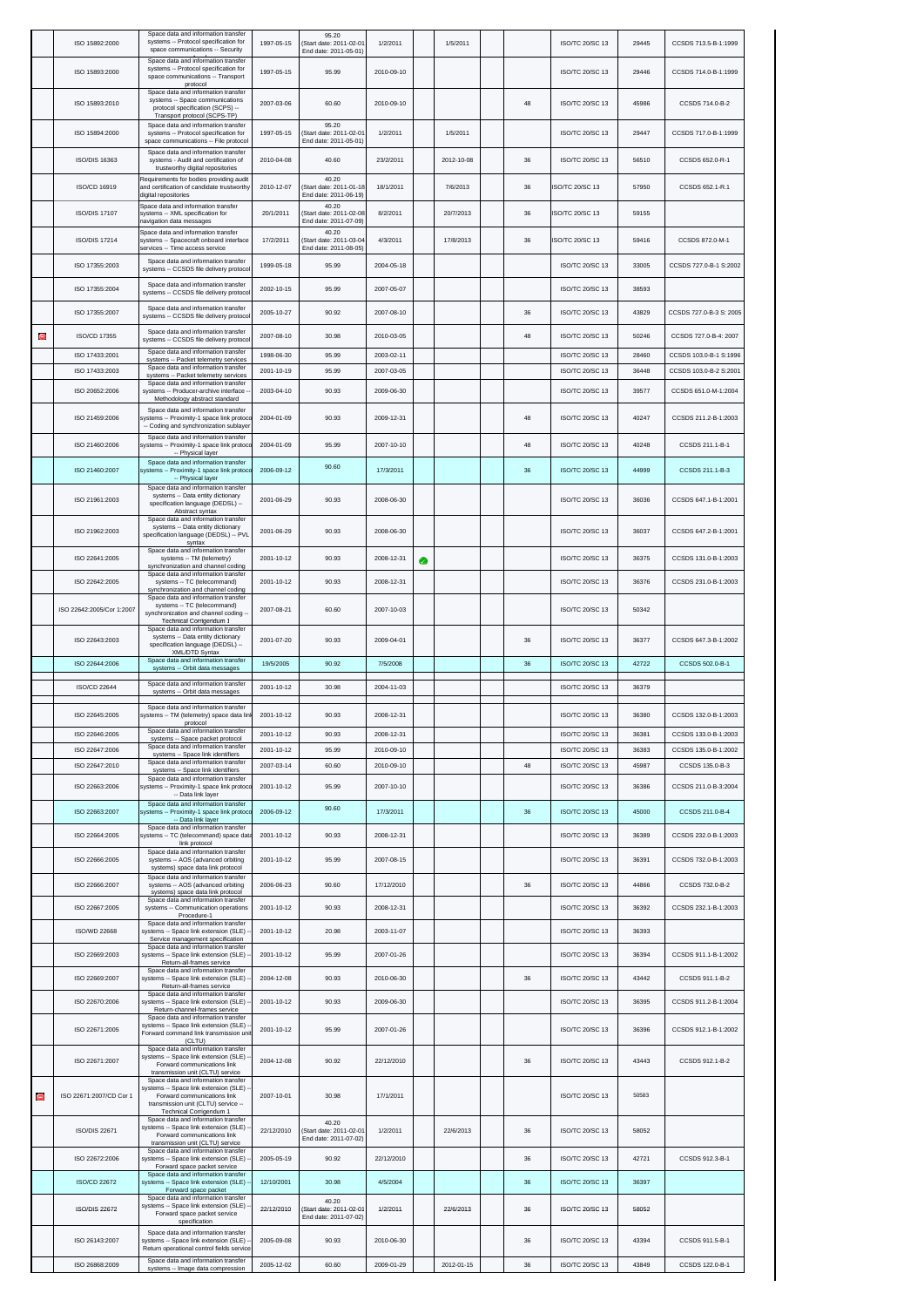|   | ISO 15892:2000            | Space data and information transfer<br>systems -- Protocol specification for<br>space communications -- Security                                     | 1997-05-15 | 95.20<br>(Start date: 2011-02-01<br>End date: 2011-05-01) | 1/2/2011   |   | 1/5/2011   |        | ISO/TC 20/SC 13        | 29445 | CCSDS 713.5-B-1:1999    |
|---|---------------------------|------------------------------------------------------------------------------------------------------------------------------------------------------|------------|-----------------------------------------------------------|------------|---|------------|--------|------------------------|-------|-------------------------|
|   | ISO 15893:2000            | Space data and information transfer<br>systems -- Protocol specification for<br>space communications -- Transport<br>protocol                        | 1997-05-15 | 95.99                                                     | 2010-09-10 |   |            |        | ISO/TC 20/SC 13        | 29446 | CCSDS 714.0-B-1:1999    |
|   | ISO 15893:2010            | Space data and information transfer<br>systems -- Space communications<br>protocol specification (SCPS) --<br>Transport protocol (SCPS-TP)           | 2007-03-06 | 60.60                                                     | 2010-09-10 |   |            | 48     | ISO/TC 20/SC 13        | 45986 | CCSDS 714.0-B-2         |
|   | ISO 15894:2000            | Space data and information transfer<br>systems -- Protocol specification for<br>space communications -- File protocol                                | 1997-05-15 | 95.20<br>(Start date: 2011-02-01<br>End date: 2011-05-01) | 1/2/2011   |   | 1/5/2011   |        | ISO/TC 20/SC 13        | 29447 | CCSDS 717.0-B-1:1999    |
|   | ISO/DIS 16363             | Space data and information transfer<br>systems - Audit and certification of<br>trustworthy digital repositories                                      | 2010-04-08 | 40.60                                                     | 23/2/2011  |   | 2012-10-08 | 36     | ISO/TC 20/SC 13        | 56510 | CCSDS 652.0-R-1         |
|   | ISO/CD 16919              | Requirements for bodies providing audit<br>and certification of candidate trustworthy<br>digital repositories                                        | 2010-12-07 | 40.20<br>(Start date: 2011-01-18<br>End date: 2011-06-19) | 18/1/2011  |   | 7/6/2013   | 36     | SO/TC 20/SC 13         | 57950 | CCSDS 652.1-R.1         |
|   | <b>ISO/DIS 17107</b>      | Space data and information transfer<br>systems -- XML specification for                                                                              | 20/1/2011  | 40.20<br>(Start date: 2011-02-08                          | 8/2/2011   |   | 20/7/2013  | 36     | <b>ISO/TC 20/SC 13</b> | 59155 |                         |
|   | <b>ISO/DIS 17214</b>      | navigation data messages<br>Space data and information transfer<br>systems -- Spacecraft onboard interface                                           | 17/2/2011  | End date: 2011-07-09)<br>40.20<br>(Start date: 2011-03-04 | 4/3/2011   |   | 17/8/2013  | 36     | ISO/TC 20/SC 13        | 59416 | CCSDS 872.0-M-1         |
|   | ISO 17355:2003            | services -- Time access service<br>Space data and information transfer                                                                               | 1999-05-18 | End date: 2011-08-05)<br>95.99                            | 2004-05-18 |   |            |        | ISO/TC 20/SC 13        | 33005 | CCSDS 727.0-B-1 S:2002  |
|   | ISO 17355:2004            | systems -- CCSDS file delivery protocol<br>Space data and information transfer                                                                       | 2002-10-15 | 95.99                                                     | 2007-05-07 |   |            |        | ISO/TC 20/SC 13        | 38593 |                         |
|   | ISO 17355:2007            | systems -- CCSDS file delivery protocol<br>Space data and information transfer<br>systems -- CCSDS file delivery protocol                            | 2005-10-27 | 90.92                                                     | 2007-08-10 |   |            | 36     | ISO/TC 20/SC 13        | 43829 | CCSDS 727.0-B-3 S: 2005 |
| Ξ | ISO/CD 17355              | Space data and information transfer<br>systems -- CCSDS file delivery protocol                                                                       | 2007-08-10 | 30.98                                                     | 2010-03-05 |   |            | 48     | ISO/TC 20/SC 13        | 50246 | CCSDS 727.0-B-4: 2007   |
|   | ISO 17433:2001            | Space data and information transfer<br>systems -- Packet telemetry services                                                                          | 1998-06-30 | 95.99                                                     | 2003-02-11 |   |            |        | ISO/TC 20/SC 13        | 28460 | CCSDS 103.0-B-1 S:1996  |
|   | ISO 17433:2003            | Space data and information transfer<br>systems -- Packet telemetry services                                                                          | 2001-10-19 | 95.99                                                     | 2007-03-05 |   |            |        | ISO/TC 20/SC 13        | 36448 | CCSDS 103.0-B-2 S:2001  |
|   | ISO 20652:2006            | Space data and information transfer<br>systems -- Producer-archive interface -<br>Methodology abstract standard                                      | 2003-04-10 | 90.93                                                     | 2009-06-30 |   |            |        | ISO/TC 20/SC 13        | 39577 | CCSDS 651.0-M-1:2004    |
|   | ISO 21459:2006            | Space data and information transfer<br>systems -- Proximity-1 space link protoc<br>-- Coding and synchronization sublayer                            | 2004-01-09 | 90.93                                                     | 2009-12-31 |   |            | 48     | ISO/TC 20/SC 13        | 40247 | CCSDS 211.2-B-1:2003    |
|   | ISO 21460:2006            | Space data and information transfer<br>systems -- Proximity-1 space link protoco<br>-- Physical layer                                                | 2004-01-09 | 95.99                                                     | 2007-10-10 |   |            | 48     | ISO/TC 20/SC 13        | 40248 | CCSDS 211.1-B-1         |
|   | ISO 21460:2007            | Space data and information transfer<br>systems -- Proximity-1 space link protoco<br>-- Physical layer                                                | 2006-09-12 | 90.60                                                     | 17/3/2011  |   |            | 36     | ISO/TC 20/SC 13        | 44999 | CCSDS 211.1-B-3         |
|   | ISO 21961:2003            | Space data and information transfer<br>systems -- Data entity dictionary<br>specification language (DEDSL) --<br>Abstract syntax                     | 2001-06-29 | 90.93                                                     | 2008-06-30 |   |            |        | ISO/TC 20/SC 13        | 36036 | CCSDS 647.1-B-1:2001    |
|   | ISO 21962:2003            | Space data and information transfer<br>systems -- Data entity dictionary<br>specification language (DEDSL) -- PVL<br>syntax                          | 2001-06-29 | 90.93                                                     | 2008-06-30 |   |            |        | ISO/TC 20/SC 13        | 36037 | CCSDS 647.2-B-1:2001    |
|   | ISO 22641:2005            | Space data and information transfer<br>systems -- TM (telemetry)<br>synchronization and channel coding                                               | 2001-10-12 | 90.93                                                     | 2008-12-31 | a |            |        | ISO/TC 20/SC 13        | 36375 | CCSDS 131.0-B-1:2003    |
|   | ISO 22642:2005            | Space data and information transfer<br>systems -- TC (telecommand)<br>synchronization and channel coding                                             | 2001-10-12 | 90.93                                                     | 2008-12-31 |   |            |        | ISO/TC 20/SC 13        | 36376 | CCSDS 231.0-B-1:2003    |
|   | ISO 22642:2005/Cor 1:2007 | Space data and information transfer<br>systems -- TC (telecommand)<br>synchronization and channel coding -<br>Technical Corrigendum 1                | 2007-08-21 | 60.60                                                     | 2007-10-03 |   |            |        | ISO/TC 20/SC 13        | 50342 |                         |
|   | ISO 22643:2003            | Space data and information transfer<br>systems -- Data entity dictionary<br>specification language (DEDSL) --                                        | 2001-07-20 | 90.93                                                     | 2009-04-01 |   |            | 36     | ISO/TC 20/SC 13        | 36377 | CCSDS 647.3-B-1:2002    |
|   | ISO 22644:2006            | XML/DTD Syntax<br>Space data and information transfer<br>systems -- Orbit data messages                                                              | 19/5/2005  | 90.92                                                     | 7/5/2008   |   |            | 36     | ISO/TC 20/SC 13        | 42722 | CCSDS 502.0-B-1         |
|   | ISO/CD 22644              | Space data and information transfer<br>systems -- Orbit data messages                                                                                | 2001-10-12 | 30.98                                                     | 2004-11-03 |   |            |        | ISO/TC 20/SC 13        | 36379 |                         |
|   | ISO 22645:2005            | Space data and information transfer<br>systems -- TM (telemetry) space data linl<br>protocol                                                         | 2001-10-12 | 90.93                                                     | 2008-12-31 |   |            |        | ISO/TC 20/SC 13        | 36380 | CCSDS 132.0-B-1:2003    |
|   | ISO 22646:2005            | Space data and information transfer<br>systems -- Space packet protocol                                                                              | 2001-10-12 | 90.93                                                     | 2008-12-31 |   |            |        | ISO/TC 20/SC 13        | 36381 | CCSDS 133.0-B-1:2003    |
|   | ISO 22647:2006            | Space data and information transfer<br>systems -- Space link identifiers                                                                             | 2001-10-12 | 95.99                                                     | 2010-09-10 |   |            |        | ISO/TC 20/SC 13        | 36383 | CCSDS 135.0-B-1:2002    |
|   | ISO 22647:2010            | Space data and information transfer<br>systems -- Space link identifiers                                                                             | 2007-03-14 | 60.60                                                     | 2010-09-10 |   |            | 48     | ISO/TC 20/SC 13        | 45987 | CCSDS 135.0-B-3         |
|   | ISO 22663:2006            | Space data and information transfer<br>systems -- Proximity-1 space link protoco<br>-- Data link layer                                               | 2001-10-12 | 95.99                                                     | 2007-10-10 |   |            |        | ISO/TC 20/SC 13        | 36386 | CCSDS 211.0-B-3:2004    |
|   | ISO 22663:2007            | Space data and information transfer<br>systems -- Proximity-1 space link protoco<br>-- Data link layer                                               | 2006-09-12 | 90.60                                                     | 17/3/2011  |   |            | 36     | ISO/TC 20/SC 13        | 45000 | CCSDS 211.0-B-4         |
|   | ISO 22664:2005            | Space data and information transfer<br>systems -- TC (telecommand) space data<br>link protocol                                                       | 2001-10-12 | 90.93                                                     | 2008-12-31 |   |            |        | ISO/TC 20/SC 13        | 36389 | CCSDS 232.0-B-1:2003    |
|   | ISO 22666:2005            | Space data and information transfer<br>systems -- AOS (advanced orbiting<br>systems) space data link protocol<br>Space data and information transfer | 2001-10-12 | 95.99                                                     | 2007-08-15 |   |            |        | ISO/TC 20/SC 13        | 36391 | CCSDS 732.0-B-1:2003    |
|   | ISO 22666:2007            | systems -- AOS (advanced orbiting<br>systems) space data link protocol<br>Space data and information transfer                                        | 2006-06-23 | 90.60                                                     | 17/12/2010 |   |            | 36     | ISO/TC 20/SC 13        | 44866 | CCSDS 732.0-B-2         |
|   | ISO 22667:2005            | systems -- Communication operations<br>Procedure-1<br>Space data and information transfer                                                            | 2001-10-12 | 90.93                                                     | 2008-12-31 |   |            |        | ISO/TC 20/SC 13        | 36392 | CCSDS 232.1-B-1:2003    |
|   | ISO/WD 22668              | systems -- Space link extension (SLE)<br>Service management specification<br>Space data and information transfer                                     | 2001-10-12 | 20.98                                                     | 2003-11-07 |   |            |        | ISO/TC 20/SC 13        | 36393 |                         |
|   | ISO 22669:2003            | systems -- Space link extension (SLE)<br>Return-all-frames service<br>Space data and information transfer                                            | 2001-10-12 | 95.99                                                     | 2007-01-26 |   |            |        | ISO/TC 20/SC 13        | 36394 | CCSDS 911.1-B-1:2002    |
|   | ISO 22669:2007            | systems -- Space link extension (SLE)<br>Return-all-frames service<br>Space data and information transfer                                            | 2004-12-08 | 90.93                                                     | 2010-06-30 |   |            | 36     | ISO/TC 20/SC 13        | 43442 | CCSDS 911.1-B-2         |
|   | ISO 22670:2006            | systems -- Space link extension (SLE)<br>Return-channel-frames service<br>Space data and information transfer                                        | 2001-10-12 | 90.93                                                     | 2009-06-30 |   |            |        | ISO/TC 20/SC 13        | 36395 | CCSDS 911.2-B-1:2004    |
|   | ISO 22671:2005            | systems -- Space link extension (SLE)<br>Forward command link transmission uni<br>(CLTU)<br>Space data and information transfer                      | 2001-10-12 | 95.99                                                     | 2007-01-26 |   |            |        | ISO/TC 20/SC 13        | 36396 | CCSDS 912.1-B-1:2002    |
|   | ISO 22671:2007            | systems -- Space link extension (SLE)<br>Forward communications link<br>transmission unit (CLTU) service<br>Space data and information transfer      | 2004-12-08 | 90.92                                                     | 22/12/2010 |   |            | 36     | ISO/TC 20/SC 13        | 43443 | CCSDS 912.1-B-2         |
| э | ISO 22671:2007/CD Cor 1   | systems -- Space link extension (SLE)<br>Forward communications link<br>transmission unit (CLTU) service --<br>Technical Corrigendum 1               | 2007-10-01 | 30.98                                                     | 17/1/2011  |   |            |        | ISO/TC 20/SC 13        | 50583 |                         |
|   | ISO/DIS 22671             | Space data and information transfer<br>systems -- Space link extension (SLE)<br>Forward communications link<br>transmission unit (CLTU) service      | 22/12/2010 | 40.20<br>(Start date: 2011-02-01<br>End date: 2011-07-02) | 1/2/2011   |   | 22/6/2013  | 36     | ISO/TC 20/SC 13        | 58052 |                         |
|   | ISO 22672:2006            | Space data and information transfer<br>systems -- Space link extension (SLE)<br>Forward space packet service                                         | 2005-05-19 | 90.92                                                     | 22/12/2010 |   |            | 36     | ISO/TC 20/SC 13        | 42721 | CCSDS 912.3-B-1         |
|   | ISO/CD 22672              | Space data and information transfer<br>systems -- Space link extension (SLE)<br>Forward space packet                                                 | 12/10/2001 | 30.98                                                     | 4/5/2004   |   |            | $36\,$ | ISO/TC 20/SC 13        | 36397 |                         |
|   | <b>ISO/DIS 22672</b>      | Space data and information transfer<br>systems -- Space link extension (SLE)<br>Forward space packet service<br>specification                        | 22/12/2010 | 40.20<br>(Start date: 2011-02-01<br>End date: 2011-07-02) | 1/2/2011   |   | 22/6/2013  | 36     | ISO/TC 20/SC 13        | 58052 |                         |
|   | ISO 26143:2007            | Space data and information transfer<br>systems -- Space link extension (SLE)<br>Return operational control fields service                            | 2005-09-08 | 90.93                                                     | 2010-06-30 |   |            | 36     | ISO/TC 20/SC 13        | 43394 | CCSDS 911.5-B-1         |
|   | ISO 26868:2009            | Space data and information transfer<br>systems -- Image data compression                                                                             | 2005-12-02 | 60.60                                                     | 2009-01-29 |   | 2012-01-15 | 36     | ISO/TC 20/SC 13        | 43849 | CCSDS 122.0-B-1         |